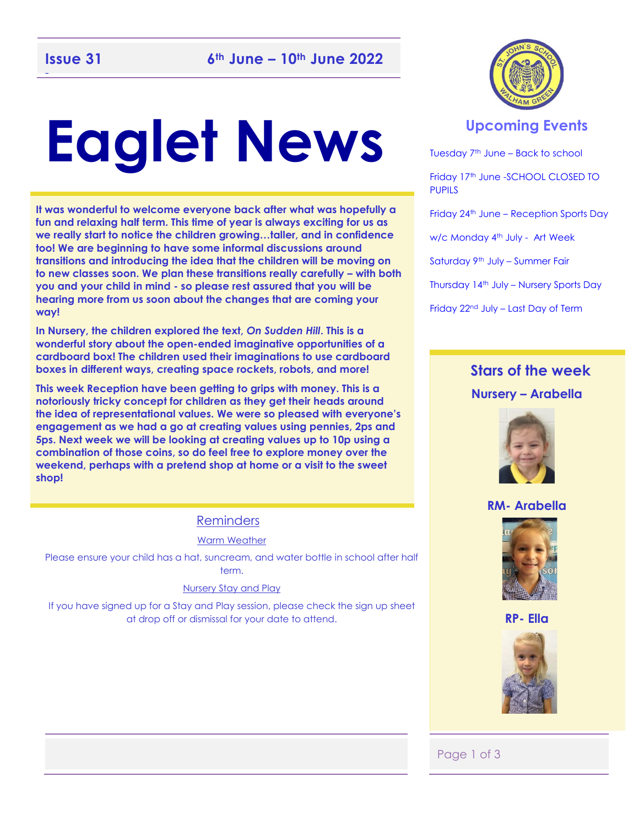# **Eaglet News**

**It was wonderful to welcome everyone back after what was hopefully a fun and relaxing half term. This time of year is always exciting for us as we really start to notice the children growing…taller, and in confidence too! We are beginning to have some informal discussions around transitions and introducing the idea that the children will be moving on to new classes soon. We plan these transitions really carefully – with both you and your child in mind - so please rest assured that you will be hearing more from us soon about the changes that are coming your way!** 

**In Nursery, the children explored the text,** *On Sudden Hill***. This is a wonderful story about the open-ended imaginative opportunities of a cardboard box! The children used their imaginations to use cardboard boxes in different ways, creating space rockets, robots, and more!** 

**This week Reception have been getting to grips with money. This is a notoriously tricky concept for children as they get their heads around the idea of representational values. We were so pleased with everyone's engagement as we had a go at creating values using pennies, 2ps and 5ps. Next week we will be looking at creating values up to 10p using a combination of those coins, so do feel free to explore money over the weekend, perhaps with a pretend shop at home or a visit to the sweet shop!** 

### Reminders

Warm Weather

Please ensure your child has a hat, suncream, and water bottle in school after half term.

#### Nursery Stay and Play

If you have signed up for a Stay and Play session, please check the sign up sheet at drop off or dismissal for your date to attend.



### **Upcoming Events**

Tuesday 7th June – Back to school Friday 17<sup>th</sup> June -SCHOOL CLOSED TO **PUPILS** Friday 24<sup>th</sup> June – Reception Sports Day w/c Monday 4<sup>th</sup> July - Art Week Saturday 9th July – Summer Fair Thursday 14th July – Nursery Sports Day Friday 22nd July – Last Day of Term

### **Stars of the week Nursery – Arabella**



### **RM- Arabella**



**RP- Ella**



Page 1 of 3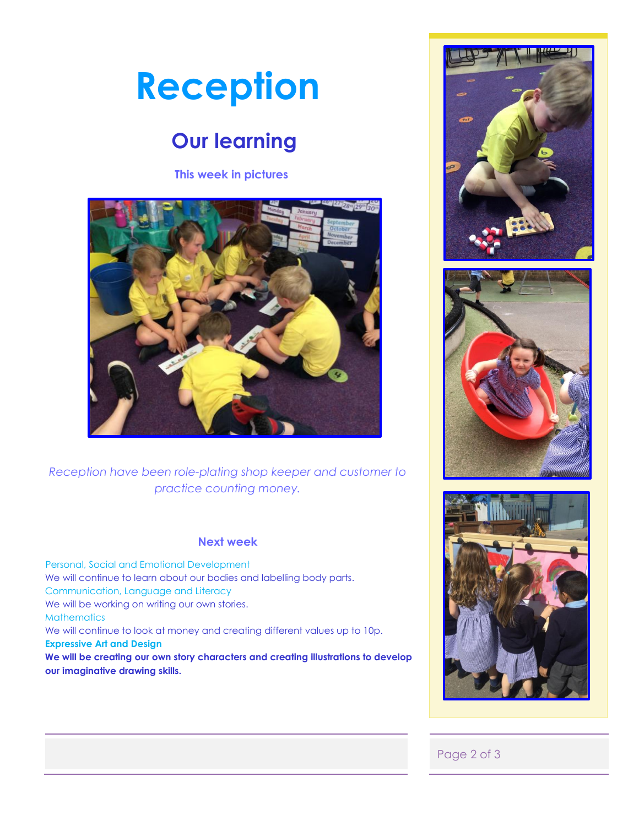## **Reception**

### **Our learning**

**This week in pictures**



*Reception have been role-plating shop keeper and customer to practice counting money.* 

### **Next week**

 Personal, Social and Emotional Development We will continue to learn about our bodies and labelling body parts. Communication, Language and Literacy We will be working on writing our own stories. **Mathematics** We will continue to look at money and creating different values up to 10p. **Expressive Art and Design We will be creating our own story characters and creating illustrations to develop our imaginative drawing skills.** 







### Page 2 of 3